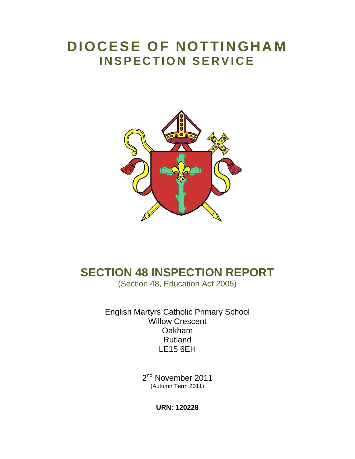# **DIOCESE OF NOTTINGHA M INSPECTION SERVICE**



## **SECTION 48 INSPECTION REPORT**

(Section 48, Education Act 2005)

English Martyrs Catholic Primary School Willow Crescent Oakham Rutland LE15 6EH

> 2<sup>nd</sup> November 2011 (Autumn Term 2011)

> > **URN: 120228**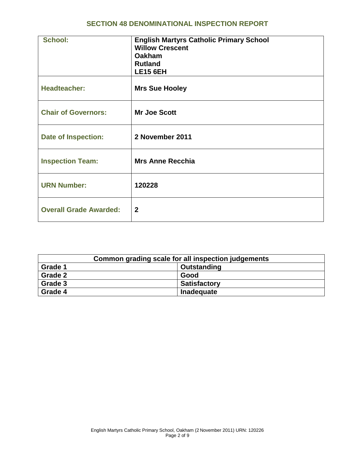#### **SECTION 48 DENOMINATIONAL INSPECTION REPORT**

| <b>School:</b>                | <b>English Martyrs Catholic Primary School</b><br><b>Willow Crescent</b><br><b>Oakham</b><br><b>Rutland</b><br><b>LE15 6EH</b> |
|-------------------------------|--------------------------------------------------------------------------------------------------------------------------------|
| <b>Headteacher:</b>           | <b>Mrs Sue Hooley</b>                                                                                                          |
| <b>Chair of Governors:</b>    | <b>Mr Joe Scott</b>                                                                                                            |
| <b>Date of Inspection:</b>    | 2 November 2011                                                                                                                |
| <b>Inspection Team:</b>       | <b>Mrs Anne Recchia</b>                                                                                                        |
| <b>URN Number:</b>            | 120228                                                                                                                         |
| <b>Overall Grade Awarded:</b> | $\mathbf{2}$                                                                                                                   |

| Common grading scale for all inspection judgements |                     |  |
|----------------------------------------------------|---------------------|--|
| Grade 1                                            | Outstanding         |  |
| Grade 2                                            | Good                |  |
| Grade 3                                            | <b>Satisfactory</b> |  |
| Grade 4                                            | Inadequate          |  |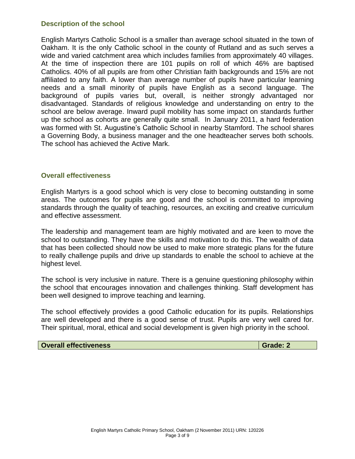#### **Description of the school**

English Martyrs Catholic School is a smaller than average school situated in the town of Oakham. It is the only Catholic school in the county of Rutland and as such serves a wide and varied catchment area which includes families from approximately 40 villages. At the time of inspection there are 101 pupils on roll of which 46% are baptised Catholics. 40% of all pupils are from other Christian faith backgrounds and 15% are not affiliated to any faith. A lower than average number of pupils have particular learning needs and a small minority of pupils have English as a second language. The background of pupils varies but, overall, is neither strongly advantaged nor disadvantaged. Standards of religious knowledge and understanding on entry to the school are below average. Inward pupil mobility has some impact on standards further up the school as cohorts are generally quite small. In January 2011, a hard federation was formed with St. Augustine's Catholic School in nearby Stamford. The school shares a Governing Body, a business manager and the one headteacher serves both schools. The school has achieved the Active Mark.

#### **Overall effectiveness**

English Martyrs is a good school which is very close to becoming outstanding in some areas. The outcomes for pupils are good and the school is committed to improving standards through the quality of teaching, resources, an exciting and creative curriculum and effective assessment.

The leadership and management team are highly motivated and are keen to move the school to outstanding. They have the skills and motivation to do this. The wealth of data that has been collected should now be used to make more strategic plans for the future to really challenge pupils and drive up standards to enable the school to achieve at the highest level.

The school is very inclusive in nature. There is a genuine questioning philosophy within the school that encourages innovation and challenges thinking. Staff development has been well designed to improve teaching and learning.

The school effectively provides a good Catholic education for its pupils. Relationships are well developed and there is a good sense of trust. Pupils are very well cared for. Their spiritual, moral, ethical and social development is given high priority in the school.

#### **Overall effectiveness Grade: 2 Grade: 2**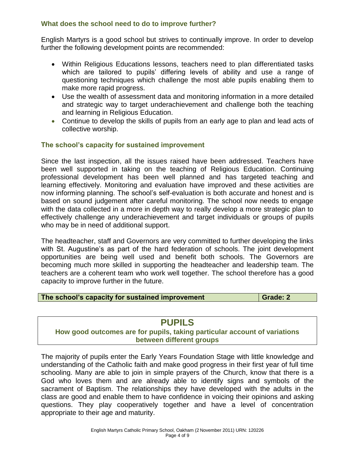#### **What does the school need to do to improve further?**

English Martyrs is a good school but strives to continually improve. In order to develop further the following development points are recommended:

- Within Religious Educations lessons, teachers need to plan differentiated tasks which are tailored to pupils' differing levels of ability and use a range of questioning techniques which challenge the most able pupils enabling them to make more rapid progress.
- Use the wealth of assessment data and monitoring information in a more detailed and strategic way to target underachievement and challenge both the teaching and learning in Religious Education.
- Continue to develop the skills of pupils from an early age to plan and lead acts of collective worship.

#### **The school's capacity for sustained improvement**

Since the last inspection, all the issues raised have been addressed. Teachers have been well supported in taking on the teaching of Religious Education. Continuing professional development has been well planned and has targeted teaching and learning effectively. Monitoring and evaluation have improved and these activities are now informing planning. The school's self-evaluation is both accurate and honest and is based on sound judgement after careful monitoring. The school now needs to engage with the data collected in a more in depth way to really develop a more strategic plan to effectively challenge any underachievement and target individuals or groups of pupils who may be in need of additional support.

The headteacher, staff and Governors are very committed to further developing the links with St. Augustine's as part of the hard federation of schools. The joint development opportunities are being well used and benefit both schools. The Governors are becoming much more skilled in supporting the headteacher and leadership team. The teachers are a coherent team who work well together. The school therefore has a good capacity to improve further in the future.

#### **The school's capacity for sustained improvement <b>Grade: 2 Grade: 2**

## **PUPILS**

#### **How good outcomes are for pupils, taking particular account of variations between different groups**

The majority of pupils enter the Early Years Foundation Stage with little knowledge and understanding of the Catholic faith and make good progress in their first year of full time schooling. Many are able to join in simple prayers of the Church, know that there is a God who loves them and are already able to identify signs and symbols of the sacrament of Baptism. The relationships they have developed with the adults in the class are good and enable them to have confidence in voicing their opinions and asking questions. They play cooperatively together and have a level of concentration appropriate to their age and maturity.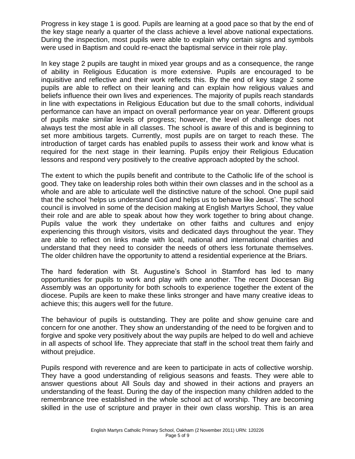Progress in key stage 1 is good. Pupils are learning at a good pace so that by the end of the key stage nearly a quarter of the class achieve a level above national expectations. During the inspection, most pupils were able to explain why certain signs and symbols were used in Baptism and could re-enact the baptismal service in their role play.

In key stage 2 pupils are taught in mixed year groups and as a consequence, the range of ability in Religious Education is more extensive. Pupils are encouraged to be inquisitive and reflective and their work reflects this. By the end of key stage 2 some pupils are able to reflect on their leaning and can explain how religious values and beliefs influence their own lives and experiences. The majority of pupils reach standards in line with expectations in Religious Education but due to the small cohorts, individual performance can have an impact on overall performance year on year. Different groups of pupils make similar levels of progress; however, the level of challenge does not always test the most able in all classes. The school is aware of this and is beginning to set more ambitious targets. Currently, most pupils are on target to reach these. The introduction of target cards has enabled pupils to assess their work and know what is required for the next stage in their learning. Pupils enjoy their Religious Education lessons and respond very positively to the creative approach adopted by the school.

The extent to which the pupils benefit and contribute to the Catholic life of the school is good. They take on leadership roles both within their own classes and in the school as a whole and are able to articulate well the distinctive nature of the school. One pupil said that the school 'helps us understand God and helps us to behave like Jesus'. The school council is involved in some of the decision making at English Martyrs School, they value their role and are able to speak about how they work together to bring about change. Pupils value the work they undertake on other faiths and cultures and enjoy experiencing this through visitors, visits and dedicated days throughout the year. They are able to reflect on links made with local, national and international charities and understand that they need to consider the needs of others less fortunate themselves. The older children have the opportunity to attend a residential experience at the Briars.

The hard federation with St. Augustine's School in Stamford has led to many opportunities for pupils to work and play with one another. The recent Diocesan Big Assembly was an opportunity for both schools to experience together the extent of the diocese. Pupils are keen to make these links stronger and have many creative ideas to achieve this; this augers well for the future.

The behaviour of pupils is outstanding. They are polite and show genuine care and concern for one another. They show an understanding of the need to be forgiven and to forgive and spoke very positively about the way pupils are helped to do well and achieve in all aspects of school life. They appreciate that staff in the school treat them fairly and without prejudice.

Pupils respond with reverence and are keen to participate in acts of collective worship. They have a good understanding of religious seasons and feasts. They were able to answer questions about All Souls day and showed in their actions and prayers an understanding of the feast. During the day of the inspection many children added to the remembrance tree established in the whole school act of worship. They are becoming skilled in the use of scripture and prayer in their own class worship. This is an area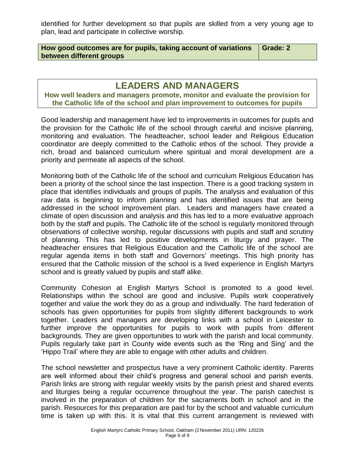identified for further development so that pupils are skilled from a very young age to plan, lead and participate in collective worship.

**How good outcomes are for pupils, taking account of variations between different groups**

**Grade: 2**

## **LEADERS AND MANAGERS**

**How well leaders and managers promote, monitor and evaluate the provision for the Catholic life of the school and plan improvement to outcomes for pupils**

Good leadership and management have led to improvements in outcomes for pupils and the provision for the Catholic life of the school through careful and incisive planning, monitoring and evaluation. The headteacher, school leader and Religious Education coordinator are deeply committed to the Catholic ethos of the school. They provide a rich, broad and balanced curriculum where spiritual and moral development are a priority and permeate all aspects of the school.

Monitoring both of the Catholic life of the school and curriculum Religious Education has been a priority of the school since the last inspection. There is a good tracking system in place that identifies individuals and groups of pupils. The analysis and evaluation of this raw data is beginning to inform planning and has identified issues that are being addressed in the school improvement plan. Leaders and managers have created a climate of open discussion and analysis and this has led to a more evaluative approach both by the staff and pupils. The Catholic life of the school is regularly monitored through observations of collective worship, regular discussions with pupils and staff and scrutiny of planning. This has led to positive developments in liturgy and prayer. The headteacher ensures that Religious Education and the Catholic life of the school are regular agenda items in both staff and Governors' meetings. This high priority has ensured that the Catholic mission of the school is a lived experience in English Martyrs school and is greatly valued by pupils and staff alike.

Community Cohesion at English Martyrs School is promoted to a good level. Relationships within the school are good and inclusive. Pupils work cooperatively together and value the work they do as a group and individually. The hard federation of schools has given opportunities for pupils from slightly different backgrounds to work together. Leaders and managers are developing links with a school in Leicester to further improve the opportunities for pupils to work with pupils from different backgrounds. They are given opportunities to work with the parish and local community. Pupils regularly take part in County wide events such as the 'Ring and Sing' and the 'Hippo Trail' where they are able to engage with other adults and children.

The school newsletter and prospectus have a very prominent Catholic identity. Parents are well informed about their child's progress and general school and parish events. Parish links are strong with regular weekly visits by the parish priest and shared events and liturgies being a regular occurrence throughout the year. The parish catechist is involved in the preparation of children for the sacraments both in school and in the parish. Resources for this preparation are paid for by the school and valuable curriculum time is taken up with this. It is vital that this current arrangement is reviewed with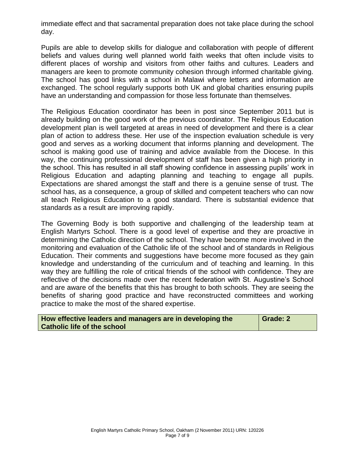immediate effect and that sacramental preparation does not take place during the school day.

Pupils are able to develop skills for dialogue and collaboration with people of different beliefs and values during well planned world faith weeks that often include visits to different places of worship and visitors from other faiths and cultures. Leaders and managers are keen to promote community cohesion through informed charitable giving. The school has good links with a school in Malawi where letters and information are exchanged. The school regularly supports both UK and global charities ensuring pupils have an understanding and compassion for those less fortunate than themselves.

The Religious Education coordinator has been in post since September 2011 but is already building on the good work of the previous coordinator. The Religious Education development plan is well targeted at areas in need of development and there is a clear plan of action to address these. Her use of the inspection evaluation schedule is very good and serves as a working document that informs planning and development. The school is making good use of training and advice available from the Diocese. In this way, the continuing professional development of staff has been given a high priority in the school. This has resulted in all staff showing confidence in assessing pupils' work in Religious Education and adapting planning and teaching to engage all pupils. Expectations are shared amongst the staff and there is a genuine sense of trust. The school has, as a consequence, a group of skilled and competent teachers who can now all teach Religious Education to a good standard. There is substantial evidence that standards as a result are improving rapidly.

The Governing Body is both supportive and challenging of the leadership team at English Martyrs School. There is a good level of expertise and they are proactive in determining the Catholic direction of the school. They have become more involved in the monitoring and evaluation of the Catholic life of the school and of standards in Religious Education. Their comments and suggestions have become more focused as they gain knowledge and understanding of the curriculum and of teaching and learning. In this way they are fulfilling the role of critical friends of the school with confidence. They are reflective of the decisions made over the recent federation with St. Augustine's School and are aware of the benefits that this has brought to both schools. They are seeing the benefits of sharing good practice and have reconstructed committees and working practice to make the most of the shared expertise.

| How effective leaders and managers are in developing the | Grade: 2 |
|----------------------------------------------------------|----------|
| <b>Catholic life of the school</b>                       |          |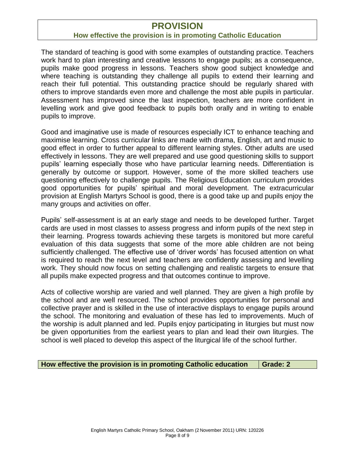## **PROVISION**

#### **How effective the provision is in promoting Catholic Education**

The standard of teaching is good with some examples of outstanding practice. Teachers work hard to plan interesting and creative lessons to engage pupils; as a consequence, pupils make good progress in lessons. Teachers show good subject knowledge and where teaching is outstanding they challenge all pupils to extend their learning and reach their full potential. This outstanding practice should be regularly shared with others to improve standards even more and challenge the most able pupils in particular. Assessment has improved since the last inspection, teachers are more confident in levelling work and give good feedback to pupils both orally and in writing to enable pupils to improve.

Good and imaginative use is made of resources especially ICT to enhance teaching and maximise learning. Cross curricular links are made with drama, English, art and music to good effect in order to further appeal to different learning styles. Other adults are used effectively in lessons. They are well prepared and use good questioning skills to support pupils' learning especially those who have particular learning needs. Differentiation is generally by outcome or support. However, some of the more skilled teachers use questioning effectively to challenge pupils. The Religious Education curriculum provides good opportunities for pupils' spiritual and moral development. The extracurricular provision at English Martyrs School is good, there is a good take up and pupils enjoy the many groups and activities on offer.

Pupils' self-assessment is at an early stage and needs to be developed further. Target cards are used in most classes to assess progress and inform pupils of the next step in their learning. Progress towards achieving these targets is monitored but more careful evaluation of this data suggests that some of the more able children are not being sufficiently challenged. The effective use of 'driver words' has focused attention on what is required to reach the next level and teachers are confidently assessing and levelling work. They should now focus on setting challenging and realistic targets to ensure that all pupils make expected progress and that outcomes continue to improve.

Acts of collective worship are varied and well planned. They are given a high profile by the school and are well resourced. The school provides opportunities for personal and collective prayer and is skilled in the use of interactive displays to engage pupils around the school. The monitoring and evaluation of these has led to improvements. Much of the worship is adult planned and led. Pupils enjoy participating in liturgies but must now be given opportunities from the earliest years to plan and lead their own liturgies. The school is well placed to develop this aspect of the liturgical life of the school further.

#### **How effective the provision is in promoting Catholic education | Grade: 2**